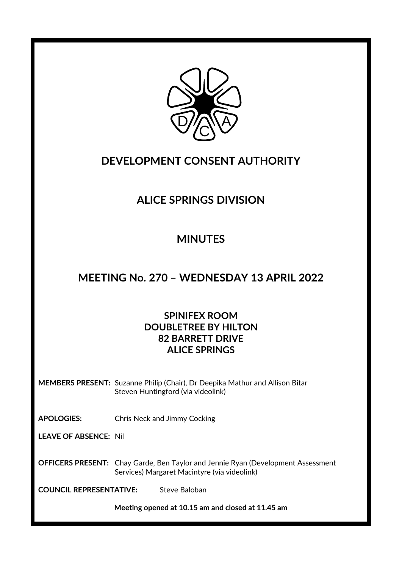

## **DEVELOPMENT CONSENT AUTHORITY**

# **ALICE SPRINGS DIVISION**

# **MINUTES**

## **MEETING No. 270 – WEDNESDAY 13 APRIL 2022**

## **SPINIFEX ROOM DOUBLETREE BY HILTON 82 BARRETT DRIVE ALICE SPRINGS**

**MEMBERS PRESENT:** Suzanne Philip (Chair), Dr Deepika Mathur and Allison Bitar Steven Huntingford (via videolink)

**APOLOGIES:** Chris Neck and Jimmy Cocking

**LEAVE OF ABSENCE:** Nil

**OFFICERS PRESENT:** Chay Garde, Ben Taylor and Jennie Ryan (Development Assessment Services) Margaret Macintyre (via videolink)

**COUNCIL REPRESENTATIVE:** Steve Baloban

**Meeting opened at 10.15 am and closed at 11.45 am**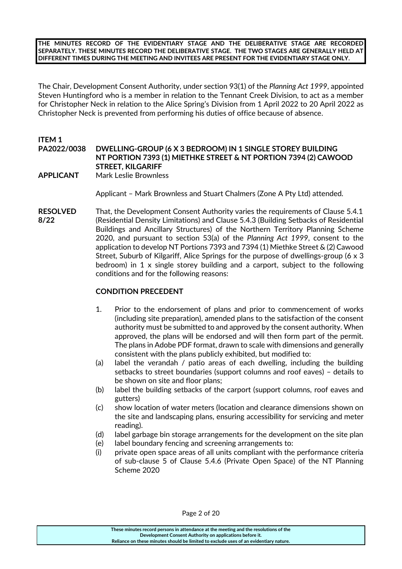**THE MINUTES RECORD OF THE EVIDENTIARY STAGE AND THE DELIBERATIVE STAGE ARE RECORDED SEPARATELY. THESE MINUTES RECORD THE DELIBERATIVE STAGE. THE TWO STAGES ARE GENERALLY HELD AT DIFFERENT TIMES DURING THE MEETING AND INVITEES ARE PRESENT FOR THE EVIDENTIARY STAGE ONLY.**

The Chair, Development Consent Authority, under section 93(1) of the *Planning Act 1999*, appointed Steven Huntingford who is a member in relation to the Tennant Creek Division, to act as a member for Christopher Neck in relation to the Alice Spring's Division from 1 April 2022 to 20 April 2022 as Christopher Neck is prevented from performing his duties of office because of absence.

## **ITEM 1 PA2022/0038 DWELLING-GROUP (6 X 3 BEDROOM) IN 1 SINGLE STOREY BUILDING NT PORTION 7393 (1) MIETHKE STREET & NT PORTION 7394 (2) CAWOOD STREET, KILGARIFF**

**APPLICANT** Mark Leslie Brownless

Applicant – Mark Brownless and Stuart Chalmers (Zone A Pty Ltd) attended.

**RESOLVED** That, the Development Consent Authority varies the requirements of Clause 5.4.1 **8/22** (Residential Density Limitations) and Clause 5.4.3 (Building Setbacks of Residential Buildings and Ancillary Structures) of the Northern Territory Planning Scheme 2020, and pursuant to section 53(a) of the *Planning Act 1999*, consent to the application to develop NT Portions 7393 and 7394 (1) Miethke Street & (2) Cawood Street, Suburb of Kilgariff, Alice Springs for the purpose of dwellings-group (6 x 3 bedroom) in 1 x single storey building and a carport, subject to the following conditions and for the following reasons:

## **CONDITION PRECEDENT**

- 1. Prior to the endorsement of plans and prior to commencement of works (including site preparation), amended plans to the satisfaction of the consent authority must be submitted to and approved by the consent authority. When approved, the plans will be endorsed and will then form part of the permit. The plans in Adobe PDF format, drawn to scale with dimensions and generally consistent with the plans publicly exhibited, but modified to:
- (a) label the verandah / patio areas of each dwelling, including the building setbacks to street boundaries (support columns and roof eaves) – details to be shown on site and floor plans;
- (b) label the building setbacks of the carport (support columns, roof eaves and gutters)
- (c) show location of water meters (location and clearance dimensions shown on the site and landscaping plans, ensuring accessibility for servicing and meter reading).
- (d) label garbage bin storage arrangements for the development on the site plan
- (e) label boundary fencing and screening arrangements to:
- (i) private open space areas of all units compliant with the performance criteria of sub-clause 5 of Clause 5.4.6 (Private Open Space) of the NT Planning Scheme 2020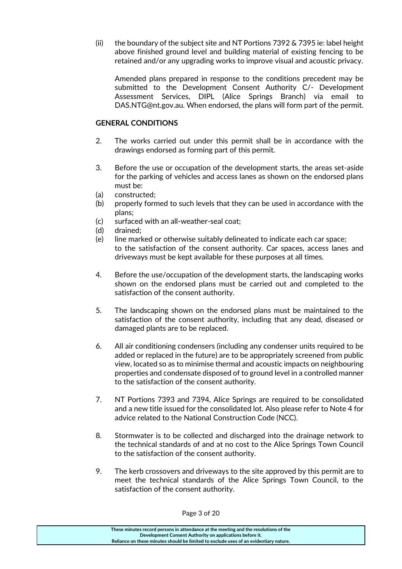(ii) the boundary of the subject site and NT Portions 7392 & 7395 ie: label height above finished ground level and building material of existing fencing to be retained and/or any upgrading works to improve visual and acoustic privacy.

Amended plans prepared in response to the conditions precedent may be submitted to the Development Consent Authority C/- Development Assessment Services, DIPL (Alice Springs Branch) via email to DAS.NTG@nt.gov.au. When endorsed, the plans will form part of the permit.

### **GENERAL CONDITIONS**

- 2. The works carried out under this permit shall be in accordance with the drawings endorsed as forming part of this permit.
- 3. Before the use or occupation of the development starts, the areas set-aside for the parking of vehicles and access lanes as shown on the endorsed plans must be:
- (a) constructed;
- (b) properly formed to such levels that they can be used in accordance with the plans;
- (c) surfaced with an all-weather-seal coat;
- (d) drained;
- (e) line marked or otherwise suitably delineated to indicate each car space; to the satisfaction of the consent authority. Car spaces, access lanes and driveways must be kept available for these purposes at all times.
- 4. Before the use/occupation of the development starts, the landscaping works shown on the endorsed plans must be carried out and completed to the satisfaction of the consent authority.
- 5. The landscaping shown on the endorsed plans must be maintained to the satisfaction of the consent authority, including that any dead, diseased or damaged plants are to be replaced.
- 6. All air conditioning condensers (including any condenser units required to be added or replaced in the future) are to be appropriately screened from public view, located so as to minimise thermal and acoustic impacts on neighbouring properties and condensate disposed of to ground level in a controlled manner to the satisfaction of the consent authority.
- 7. NT Portions 7393 and 7394, Alice Springs are required to be consolidated and a new title issued for the consolidated lot. Also please refer to Note 4 for advice related to the National Construction Code (NCC).
- 8. Stormwater is to be collected and discharged into the drainage network to the technical standards of and at no cost to the Alice Springs Town Council to the satisfaction of the consent authority.
- 9. The kerb crossovers and driveways to the site approved by this permit are to meet the technical standards of the Alice Springs Town Council, to the satisfaction of the consent authority.

**These minutes record persons in attendance at the meeting and the resolutions of the Development Consent Authority on applications before it. Reliance on these minutes should be limited to exclude uses of an evidentiary nature.**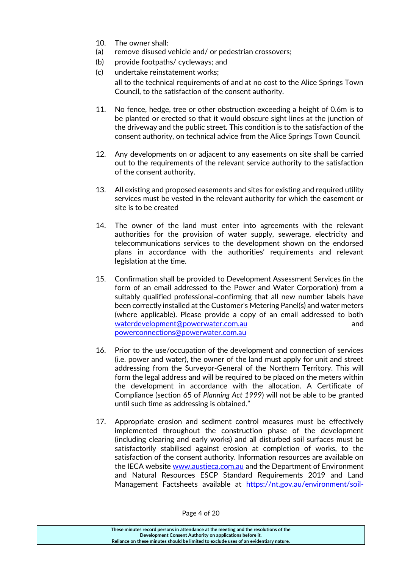- 10. The owner shall:
- (a) remove disused vehicle and/ or pedestrian crossovers;
- (b) provide footpaths/ cycleways; and
- (c) undertake reinstatement works; all to the technical requirements of and at no cost to the Alice Springs Town Council, to the satisfaction of the consent authority.
- 11. No fence, hedge, tree or other obstruction exceeding a height of 0.6m is to be planted or erected so that it would obscure sight lines at the junction of the driveway and the public street. This condition is to the satisfaction of the consent authority, on technical advice from the Alice Springs Town Council.
- 12. Any developments on or adjacent to any easements on site shall be carried out to the requirements of the relevant service authority to the satisfaction of the consent authority.
- 13. All existing and proposed easements and sites for existing and required utility services must be vested in the relevant authority for which the easement or site is to be created
- 14. The owner of the land must enter into agreements with the relevant authorities for the provision of water supply, sewerage, electricity and telecommunications services to the development shown on the endorsed plans in accordance with the authorities' requirements and relevant legislation at the time.
- 15. Confirmation shall be provided to Development Assessment Services (in the form of an email addressed to the Power and Water Corporation) from a suitably qualified professional-confirming that all new number labels have been correctly installed at the Customer's Metering Panel(s) and water meters (where applicable). Please provide a copy of an email addressed to both [waterdevelopment@powerwater.com.au](mailto:waterdevelopment@powerwater.com.au) and [powerconnections@powerwater.com.au](mailto:powerconnections@powerwater.com.au)
- 16. Prior to the use/occupation of the development and connection of services (i.e. power and water), the owner of the land must apply for unit and street addressing from the Surveyor-General of the Northern Territory. This will form the legal address and will be required to be placed on the meters within the development in accordance with the allocation. A Certificate of Compliance (section 65 of *Planning Act 1999*) will not be able to be granted until such time as addressing is obtained."
- 17. Appropriate erosion and sediment control measures must be effectively implemented throughout the construction phase of the development (including clearing and early works) and all disturbed soil surfaces must be satisfactorily stabilised against erosion at completion of works, to the satisfaction of the consent authority. Information resources are available on the IECA website [www.austieca.com.au](http://www.austieca.com.au/) and the Department of Environment and Natural Resources ESCP Standard Requirements 2019 and Land Management Factsheets available at [https://nt.gov.au/environment/soil-](https://nt.gov.au/environment/soil-land-vegetation)

**These minutes record persons in attendance at the meeting and the resolutions of the Development Consent Authority on applications before it. Reliance on these minutes should be limited to exclude uses of an evidentiary nature.**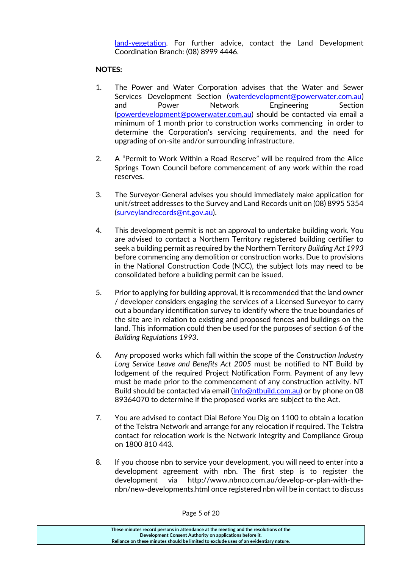[land-vegetation.](https://nt.gov.au/environment/soil-land-vegetation) For further advice, contact the Land Development Coordination Branch: (08) 8999 4446.

## **NOTES:**

- 1. The Power and Water Corporation advises that the Water and Sewer Services Development Section [\(waterdevelopment@powerwater.com.au\)](mailto:waterdevelopment@powerwater.com.au) and Power Network Engineering Section [\(powerdevelopment@powerwater.com.au\)](mailto:powerdevelopment@powerwater.com.au) should be contacted via email a minimum of 1 month prior to construction works commencing in order to determine the Corporation's servicing requirements, and the need for upgrading of on-site and/or surrounding infrastructure.
- 2. A "Permit to Work Within a Road Reserve" will be required from the Alice Springs Town Council before commencement of any work within the road reserves.
- 3. The Surveyor-General advises you should immediately make application for unit/street addresses to the Survey and Land Records unit on (08) 8995 5354 [\(surveylandrecords@nt.gov.au\)](mailto:surveylandrecords@nt.gov.au).
- 4. This development permit is not an approval to undertake building work. You are advised to contact a Northern Territory registered building certifier to seek a building permit as required by the Northern Territory *Building Act 1993*  before commencing any demolition or construction works. Due to provisions in the National Construction Code (NCC), the subject lots may need to be consolidated before a building permit can be issued.
- 5. Prior to applying for building approval, it is recommended that the land owner / developer considers engaging the services of a Licensed Surveyor to carry out a boundary identification survey to identify where the true boundaries of the site are in relation to existing and proposed fences and buildings on the land. This information could then be used for the purposes of section 6 of the *Building Regulations 1993*.
- 6. Any proposed works which fall within the scope of the *Construction Industry Long Service Leave and Benefits Act 2005* must be notified to NT Build by lodgement of the required Project Notification Form. Payment of any levy must be made prior to the commencement of any construction activity. NT Build should be contacted via email [\(info@ntbuild.com.au\)](mailto:info@ntbuild.com.au) or by phone on 08 89364070 to determine if the proposed works are subject to the Act.
- 7. You are advised to contact Dial Before You Dig on 1100 to obtain a location of the Telstra Network and arrange for any relocation if required. The Telstra contact for relocation work is the Network Integrity and Compliance Group on 1800 810 443.
- 8. If you choose nbn to service your development, you will need to enter into a development agreement with nbn. The first step is to register the development via http://www.nbnco.com.au/develop-or-plan-with-thenbn/new-developments.html once registered nbn will be in contact to discuss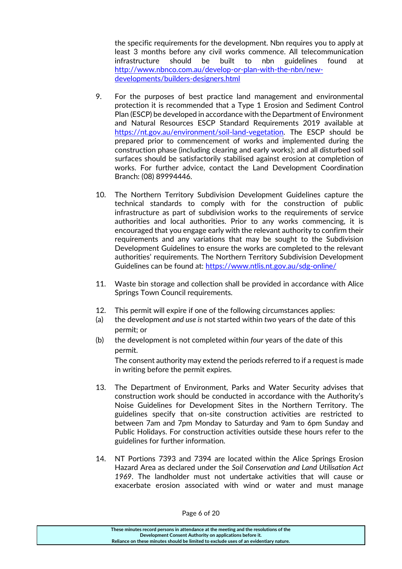the specific requirements for the development. Nbn requires you to apply at least 3 months before any civil works commence. All telecommunication infrastructure should be built to nbn guidelines found at [http://www.nbnco.com.au/develop-or-plan-with-the-nbn/new](http://www.nbnco.com.au/develop-or-plan-with-the-nbn/new-developments/builders-designers.html)[developments/builders-designers.html](http://www.nbnco.com.au/develop-or-plan-with-the-nbn/new-developments/builders-designers.html)

- 9. For the purposes of best practice land management and environmental protection it is recommended that a Type 1 Erosion and Sediment Control Plan (ESCP) be developed in accordance with the Department of Environment and Natural Resources ESCP Standard Requirements 2019 available at [https://nt.gov.au/environment/soil-land-vegetation.](https://nt.gov.au/environment/soil-land-vegetation) The ESCP should be prepared prior to commencement of works and implemented during the construction phase (including clearing and early works); and all disturbed soil surfaces should be satisfactorily stabilised against erosion at completion of works. For further advice, contact the Land Development Coordination Branch: (08) 89994446.
- 10. The Northern Territory Subdivision Development Guidelines capture the technical standards to comply with for the construction of public infrastructure as part of subdivision works to the requirements of service authorities and local authorities. Prior to any works commencing, it is encouraged that you engage early with the relevant authority to confirm their requirements and any variations that may be sought to the Subdivision Development Guidelines to ensure the works are completed to the relevant authorities' requirements. The Northern Territory Subdivision Development Guidelines can be found at:<https://www.ntlis.nt.gov.au/sdg-online/>
- 11. Waste bin storage and collection shall be provided in accordance with Alice Springs Town Council requirements.
- 12. This permit will expire if one of the following circumstances applies:
- (a) the development *and use is* not started within *two* years of the date of this permit; or
- (b) the development is not completed within *four* years of the date of this permit.

The consent authority may extend the periods referred to if a request is made in writing before the permit expires.

- 13. The Department of Environment, Parks and Water Security advises that construction work should be conducted in accordance with the Authority's Noise Guidelines for Development Sites in the Northern Territory. The guidelines specify that on-site construction activities are restricted to between 7am and 7pm Monday to Saturday and 9am to 6pm Sunday and Public Holidays. For construction activities outside these hours refer to the guidelines for further information.
- 14. NT Portions 7393 and 7394 are located within the Alice Springs Erosion Hazard Area as declared under the *Soil Conservation and Land Utilisation Act 1969*. The landholder must not undertake activities that will cause or exacerbate erosion associated with wind or water and must manage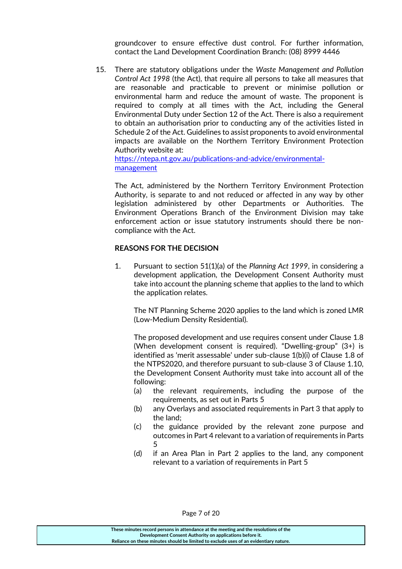groundcover to ensure effective dust control. For further information, contact the Land Development Coordination Branch: (08) 8999 4446

15. There are statutory obligations under the *Waste Management and Pollution Control Act 1998* (the Act), that require all persons to take all measures that are reasonable and practicable to prevent or minimise pollution or environmental harm and reduce the amount of waste. The proponent is required to comply at all times with the Act, including the General Environmental Duty under Section 12 of the Act. There is also a requirement to obtain an authorisation prior to conducting any of the activities listed in Schedule 2 of the Act. Guidelines to assist proponents to avoid environmental impacts are available on the Northern Territory Environment Protection Authority website at:

[https://ntepa.nt.gov.au/publications-and-advice/environmental](https://ntepa.nt.gov.au/publications-and-advice/environmental-management)[management](https://ntepa.nt.gov.au/publications-and-advice/environmental-management)

The Act, administered by the Northern Territory Environment Protection Authority, is separate to and not reduced or affected in any way by other legislation administered by other Departments or Authorities. The Environment Operations Branch of the Environment Division may take enforcement action or issue statutory instruments should there be noncompliance with the Act.

#### **REASONS FOR THE DECISION**

1. Pursuant to section 51(1)(a) of the *Planning Act 1999*, in considering a development application, the Development Consent Authority must take into account the planning scheme that applies to the land to which the application relates.

The NT Planning Scheme 2020 applies to the land which is zoned LMR (Low-Medium Density Residential).

The proposed development and use requires consent under Clause 1.8 (When development consent is required). "Dwelling-group" (3+) is identified as 'merit assessable' under sub-clause 1(b)(i) of Clause 1.8 of the NTPS2020, and therefore pursuant to sub-clause 3 of Clause 1.10, the Development Consent Authority must take into account all of the following:

- (a) the relevant requirements, including the purpose of the requirements, as set out in Parts 5
- (b) any Overlays and associated requirements in Part 3 that apply to the land;
- (c) the guidance provided by the relevant zone purpose and outcomes in Part 4 relevant to a variation of requirements in Parts 5
- (d) if an Area Plan in Part 2 applies to the land, any component relevant to a variation of requirements in Part 5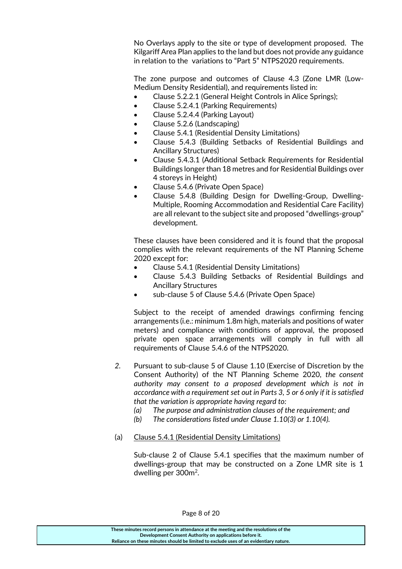No Overlays apply to the site or type of development proposed. The Kilgariff Area Plan applies to the land but does not provide any guidance in relation to the variations to "Part 5" NTPS2020 requirements.

The zone purpose and outcomes of Clause 4.3 (Zone LMR (Low-Medium Density Residential), and requirements listed in:

- Clause 5.2.2.1 (General Height Controls in Alice Springs);
- Clause 5.2.4.1 (Parking Requirements)
- Clause 5.2.4.4 (Parking Layout)
- Clause 5.2.6 (Landscaping)
- Clause 5.4.1 (Residential Density Limitations)
- Clause 5.4.3 (Building Setbacks of Residential Buildings and Ancillary Structures)
- Clause 5.4.3.1 (Additional Setback Requirements for Residential Buildings longer than 18 metres and for Residential Buildings over 4 storeys in Height)
- Clause 5.4.6 (Private Open Space)
- Clause 5.4.8 (Building Design for Dwelling-Group, Dwelling-Multiple, Rooming Accommodation and Residential Care Facility) are all relevant to the subject site and proposed "dwellings-group" development.

These clauses have been considered and it is found that the proposal complies with the relevant requirements of the NT Planning Scheme 2020 except for:

- Clause 5.4.1 (Residential Density Limitations)
- Clause 5.4.3 Building Setbacks of Residential Buildings and Ancillary Structures
- sub-clause 5 of Clause 5.4.6 (Private Open Space)

Subject to the receipt of amended drawings confirming fencing arrangements (i.e.: minimum 1.8m high, materials and positions of water meters) and compliance with conditions of approval, the proposed private open space arrangements will comply in full with all requirements of Clause 5.4.6 of the NTPS2020.

- *2.* Pursuant to sub-clause 5 of Clause 1.10 (Exercise of Discretion by the Consent Authority) of the NT Planning Scheme 2020, *the consent authority may consent to a proposed development which is not in accordance with a requirement set out in Parts 3, 5 or 6 only if it is satisfied that the variation is appropriate having regard to:*
	- *(a) The purpose and administration clauses of the requirement; and*
	- *(b) The considerations listed under Clause 1.10(3) or 1.10(4).*
- (a) Clause 5.4.1 (Residential Density Limitations)

Sub-clause 2 of Clause 5.4.1 specifies that the maximum number of dwellings-group that may be constructed on a Zone LMR site is 1 dwelling per 300m<sup>2</sup>.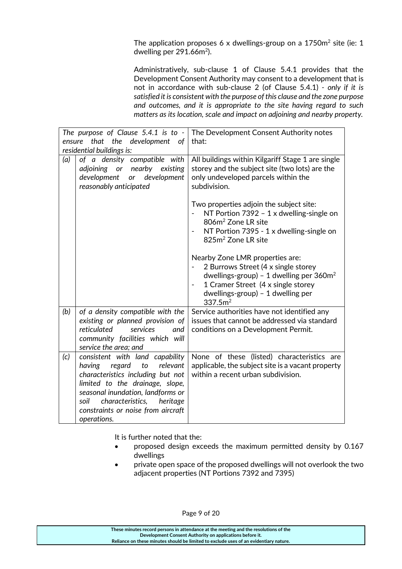The application proposes 6 x dwellings-group on a  $1750m^2$  site (ie: 1 dwelling per  $291.66$ m<sup>2</sup>).

Administratively, sub-clause 1 of Clause 5.4.1 provides that the Development Consent Authority may consent to a development that is not in accordance with sub-clause 2 (of Clause 5.4.1) *- only if it is satisfied it is consistent with the purpose of this clause and the zone purpose and outcomes, and it is appropriate to the site having regard to such matters as its location, scale and impact on adjoining and nearby property.*

| The purpose of Clause 5.4.1 is to -<br>that the<br>development<br>ensure<br>- of<br>residential buildings is: |                                                                                                                                                                                                                                                                                 | The Development Consent Authority notes<br>that:                                                                                                                                                                                                     |
|---------------------------------------------------------------------------------------------------------------|---------------------------------------------------------------------------------------------------------------------------------------------------------------------------------------------------------------------------------------------------------------------------------|------------------------------------------------------------------------------------------------------------------------------------------------------------------------------------------------------------------------------------------------------|
| (a)                                                                                                           | of a density compatible with<br>adjoining or nearby existing<br>or development<br>development<br>reasonably anticipated                                                                                                                                                         | All buildings within Kilgariff Stage 1 are single<br>storey and the subject site (two lots) are the<br>only undeveloped parcels within the<br>subdivision.                                                                                           |
|                                                                                                               |                                                                                                                                                                                                                                                                                 | Two properties adjoin the subject site:<br>NT Portion 7392 - 1 x dwelling-single on<br>806m <sup>2</sup> Zone LR site<br>NT Portion 7395 - 1 x dwelling-single on<br>825m <sup>2</sup> Zone LR site                                                  |
|                                                                                                               |                                                                                                                                                                                                                                                                                 | Nearby Zone LMR properties are:<br>2 Burrows Street (4 x single storey<br>dwellings-group) - 1 dwelling per $360m^2$<br>1 Cramer Street (4 x single storey<br>$\overline{\phantom{a}}$<br>$dwellings-group) - 1$ dwelling per<br>337.5m <sup>2</sup> |
| (b)                                                                                                           | of a density compatible with the<br>existing or planned provision of<br>reticulated<br>services<br>and<br>community facilities which will<br>service the area; and                                                                                                              | Service authorities have not identified any<br>issues that cannot be addressed via standard<br>conditions on a Development Permit.                                                                                                                   |
| (c)                                                                                                           | consistent with land capability<br>having<br>regard<br>to<br>relevant<br>characteristics including but not<br>limited to the drainage, slope,<br>seasonal inundation, landforms or<br>characteristics,<br>soil<br>heritage<br>constraints or noise from aircraft<br>operations. | None of these (listed) characteristics are<br>applicable, the subject site is a vacant property<br>within a recent urban subdivision.                                                                                                                |

It is further noted that the:

- proposed design exceeds the maximum permitted density by 0.167 dwellings
- private open space of the proposed dwellings will not overlook the two adjacent properties (NT Portions 7392 and 7395)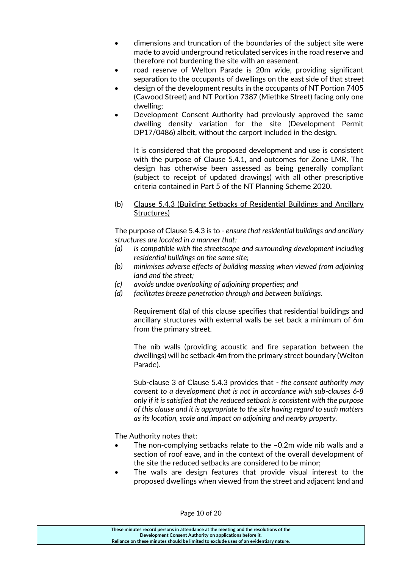- dimensions and truncation of the boundaries of the subject site were made to avoid underground reticulated services in the road reserve and therefore not burdening the site with an easement.
- road reserve of Welton Parade is 20m wide, providing significant separation to the occupants of dwellings on the east side of that street
- design of the development results in the occupants of NT Portion 7405 (Cawood Street) and NT Portion 7387 (Miethke Street) facing only one dwelling;
- Development Consent Authority had previously approved the same dwelling density variation for the site (Development Permit DP17/0486) albeit, without the carport included in the design.

It is considered that the proposed development and use is consistent with the purpose of Clause 5.4.1, and outcomes for Zone LMR. The design has otherwise been assessed as being generally compliant (subject to receipt of updated drawings) with all other prescriptive criteria contained in Part 5 of the NT Planning Scheme 2020.

(b) Clause 5.4.3 (Building Setbacks of Residential Buildings and Ancillary Structures)

The purpose of Clause 5.4.3 is to - *ensure that residential buildings and ancillary structures are located in a manner that:*

- *(a) is compatible with the streetscape and surrounding development including residential buildings on the same site;*
- *(b) minimises adverse effects of building massing when viewed from adjoining land and the street;*
- *(c) avoids undue overlooking of adjoining properties; and*
- *(d) facilitates breeze penetration through and between buildings.*

Requirement 6(a) of this clause specifies that residential buildings and ancillary structures with external walls be set back a minimum of 6m from the primary street.

The nib walls (providing acoustic and fire separation between the dwellings) will be setback 4m from the primary street boundary (Welton Parade).

Sub-clause 3 of Clause 5.4.3 provides that - *the consent authority may consent to a development that is not in accordance with sub-clauses 6-8 only if it is satisfied that the reduced setback is consistent with the purpose of this clause and it is appropriate to the site having regard to such matters as its location, scale and impact on adjoining and nearby property.*

The Authority notes that:

- The non-complying setbacks relate to the ~0.2m wide nib walls and a section of roof eave, and in the context of the overall development of the site the reduced setbacks are considered to be minor;
- The walls are design features that provide visual interest to the proposed dwellings when viewed from the street and adjacent land and

Page 10 of 20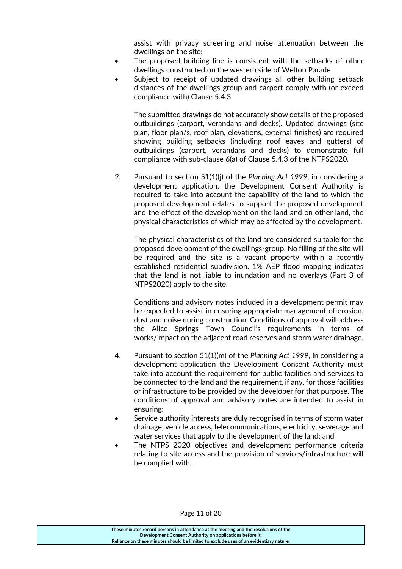assist with privacy screening and noise attenuation between the dwellings on the site;

- The proposed building line is consistent with the setbacks of other dwellings constructed on the western side of Welton Parade
- Subject to receipt of updated drawings all other building setback distances of the dwellings-group and carport comply with (or exceed compliance with) Clause 5.4.3.

The submitted drawings do not accurately show details of the proposed outbuildings (carport, verandahs and decks). Updated drawings (site plan, floor plan/s, roof plan, elevations, external finishes) are required showing building setbacks (including roof eaves and gutters) of outbuildings (carport, verandahs and decks) to demonstrate full compliance with sub-clause 6(a) of Clause 5.4.3 of the NTPS2020.

2. Pursuant to section 51(1)(j) of the *Planning Act 1999*, in considering a development application, the Development Consent Authority is required to take into account the capability of the land to which the proposed development relates to support the proposed development and the effect of the development on the land and on other land, the physical characteristics of which may be affected by the development.

The physical characteristics of the land are considered suitable for the proposed development of the dwellings-group. No filling of the site will be required and the site is a vacant property within a recently established residential subdivision. 1% AEP flood mapping indicates that the land is not liable to inundation and no overlays (Part 3 of NTPS2020) apply to the site.

Conditions and advisory notes included in a development permit may be expected to assist in ensuring appropriate management of erosion, dust and noise during construction. Conditions of approval will address the Alice Springs Town Council's requirements in terms of works/impact on the adjacent road reserves and storm water drainage.

- 4. Pursuant to section 51(1)(m) of the *Planning Act 1999*, in considering a development application the Development Consent Authority must take into account the requirement for public facilities and services to be connected to the land and the requirement, if any, for those facilities or infrastructure to be provided by the developer for that purpose. The conditions of approval and advisory notes are intended to assist in ensuring:
- Service authority interests are duly recognised in terms of storm water drainage, vehicle access, telecommunications, electricity, sewerage and water services that apply to the development of the land; and
- The NTPS 2020 objectives and development performance criteria relating to site access and the provision of services/infrastructure will be complied with.

#### **These minutes record persons in attendance at the meeting and the resolutions of the Development Consent Authority on applications before it. Reliance on these minutes should be limited to exclude uses of an evidentiary nature.**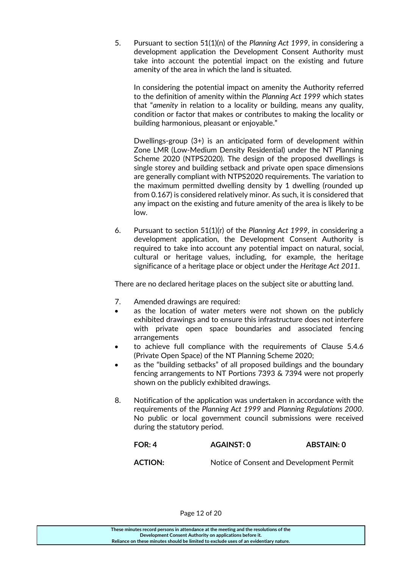5. Pursuant to section 51(1)(n) of the *Planning Act 1999*, in considering a development application the Development Consent Authority must take into account the potential impact on the existing and future amenity of the area in which the land is situated.

In considering the potential impact on amenity the Authority referred to the definition of amenity within the *Planning Act 1999* which states that "*amenity* in relation to a locality or building, means any quality, condition or factor that makes or contributes to making the locality or building harmonious, pleasant or enjoyable."

Dwellings-group (3+) is an anticipated form of development within Zone LMR (Low-Medium Density Residential) under the NT Planning Scheme 2020 (NTPS2020). The design of the proposed dwellings is single storey and building setback and private open space dimensions are generally compliant with NTPS2020 requirements. The variation to the maximum permitted dwelling density by 1 dwelling (rounded up from 0.167) is considered relatively minor. As such, it is considered that any impact on the existing and future amenity of the area is likely to be low.

6. Pursuant to section 51(1)(r) of the *Planning Act 1999*, in considering a development application, the Development Consent Authority is required to take into account any potential impact on natural, social, cultural or heritage values, including, for example, the heritage significance of a heritage place or object under the *Heritage Act 2011.*

There are no declared heritage places on the subject site or abutting land.

- 7. Amended drawings are required:
- as the location of water meters were not shown on the publicly exhibited drawings and to ensure this infrastructure does not interfere with private open space boundaries and associated fencing arrangements
- to achieve full compliance with the requirements of Clause 5.4.6 (Private Open Space) of the NT Planning Scheme 2020;
- as the "building setbacks" of all proposed buildings and the boundary fencing arrangements to NT Portions 7393 & 7394 were not properly shown on the publicly exhibited drawings.
- 8. Notification of the application was undertaken in accordance with the requirements of the *Planning Act 1999* and *Planning Regulations 2000*. No public or local government council submissions were received during the statutory period.

| FOR:4          | AGAINST: 0 | ABSTAIN: 0                               |
|----------------|------------|------------------------------------------|
| <b>ACTION:</b> |            | Notice of Consent and Development Permit |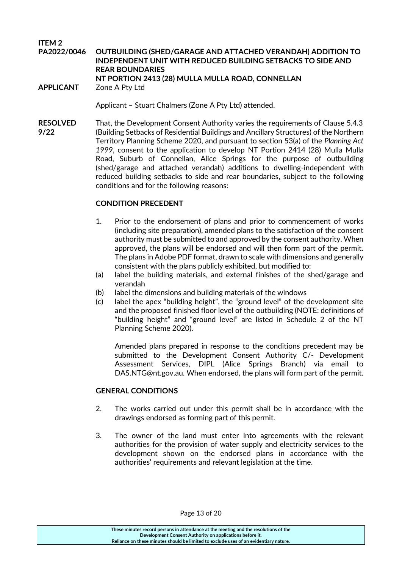**ITEM 2 PA2022/0046 OUTBUILDING (SHED/GARAGE AND ATTACHED VERANDAH) ADDITION TO INDEPENDENT UNIT WITH REDUCED BUILDING SETBACKS TO SIDE AND REAR BOUNDARIES NT PORTION 2413 (28) MULLA MULLA ROAD, CONNELLAN APPLICANT** Zone A Pty Ltd

Applicant – Stuart Chalmers (Zone A Pty Ltd) attended.

**RESOLVED** That, the Development Consent Authority varies the requirements of Clause 5.4.3 **9/22** (Building Setbacks of Residential Buildings and Ancillary Structures) of the Northern Territory Planning Scheme 2020, and pursuant to section 53(a) of the *Planning Act 1999*, consent to the application to develop NT Portion 2414 (28) Mulla Mulla Road, Suburb of Connellan, Alice Springs for the purpose of outbuilding (shed/garage and attached verandah) additions to dwelling-independent with reduced building setbacks to side and rear boundaries, subject to the following conditions and for the following reasons:

#### **CONDITION PRECEDENT**

- 1. Prior to the endorsement of plans and prior to commencement of works (including site preparation), amended plans to the satisfaction of the consent authority must be submitted to and approved by the consent authority. When approved, the plans will be endorsed and will then form part of the permit. The plans in Adobe PDF format, drawn to scale with dimensions and generally consistent with the plans publicly exhibited, but modified to:
- (a) label the building materials, and external finishes of the shed/garage and verandah
- (b) label the dimensions and building materials of the windows
- (c) label the apex "building height", the "ground level" of the development site and the proposed finished floor level of the outbuilding (NOTE: definitions of "building height" and "ground level" are listed in Schedule 2 of the NT Planning Scheme 2020).

Amended plans prepared in response to the conditions precedent may be submitted to the Development Consent Authority C/- Development Assessment Services, DIPL (Alice Springs Branch) via email to DAS.NTG@nt.gov.au. When endorsed, the plans will form part of the permit.

#### **GENERAL CONDITIONS**

- 2. The works carried out under this permit shall be in accordance with the drawings endorsed as forming part of this permit.
- 3. The owner of the land must enter into agreements with the relevant authorities for the provision of water supply and electricity services to the development shown on the endorsed plans in accordance with the authorities' requirements and relevant legislation at the time.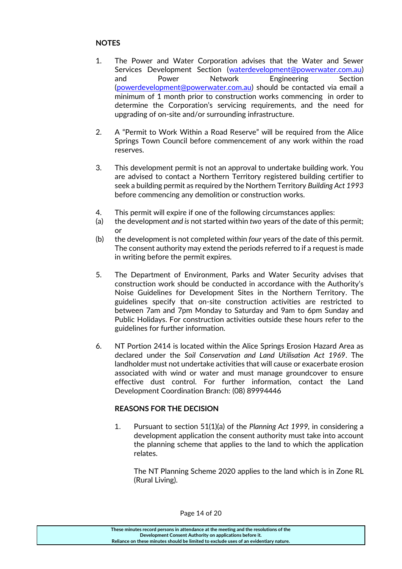## **NOTES**

- 1. The Power and Water Corporation advises that the Water and Sewer Services Development Section [\(waterdevelopment@powerwater.com.au\)](mailto:waterdevelopment@powerwater.com.au) and Power Network Engineering Section [\(powerdevelopment@powerwater.com.au\)](mailto:powerdevelopment@powerwater.com.au) should be contacted via email a minimum of 1 month prior to construction works commencing in order to determine the Corporation's servicing requirements, and the need for upgrading of on-site and/or surrounding infrastructure.
- 2. A "Permit to Work Within a Road Reserve" will be required from the Alice Springs Town Council before commencement of any work within the road reserves.
- 3. This development permit is not an approval to undertake building work. You are advised to contact a Northern Territory registered building certifier to seek a building permit as required by the Northern Territory *Building Act 1993*  before commencing any demolition or construction works.
- 4. This permit will expire if one of the following circumstances applies:
- (a) the development *and is* not started within *two* years of the date of this permit; or
- (b) the development is not completed within *four* years of the date of this permit. The consent authority may extend the periods referred to if a request is made in writing before the permit expires.
- 5. The Department of Environment, Parks and Water Security advises that construction work should be conducted in accordance with the Authority's Noise Guidelines for Development Sites in the Northern Territory. The guidelines specify that on-site construction activities are restricted to between 7am and 7pm Monday to Saturday and 9am to 6pm Sunday and Public Holidays. For construction activities outside these hours refer to the guidelines for further information.
- 6. NT Portion 2414 is located within the Alice Springs Erosion Hazard Area as declared under the *Soil Conservation and Land Utilisation Act 1969*. The landholder must not undertake activities that will cause or exacerbate erosion associated with wind or water and must manage groundcover to ensure effective dust control. For further information, contact the Land Development Coordination Branch: (08) 89994446

#### **REASONS FOR THE DECISION**

1. Pursuant to section 51(1)(a) of the *Planning Act 1999,* in considering a development application the consent authority must take into account the planning scheme that applies to the land to which the application relates.

The NT Planning Scheme 2020 applies to the land which is in Zone RL (Rural Living).

Page 14 of 20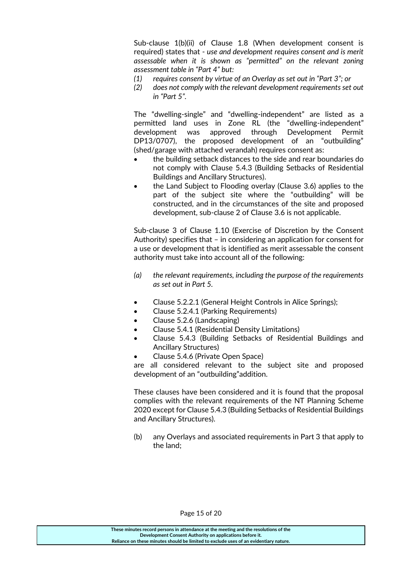Sub-clause 1(b)(ii) of Clause 1.8 (When development consent is required) states that - *use and development requires consent and is merit assessable when it is shown as "permitted" on the relevant zoning assessment table in "Part 4" but:*

- *(1) requires consent by virtue of an Overlay as set out in "Part 3"; or*
- *(2) does not comply with the relevant development requirements set out in "Part 5".*

The "dwelling-single" and "dwelling-independent" are listed as a permitted land uses in Zone RL (the "dwelling-independent" development was approved through Development Permit DP13/0707), the proposed development of an "outbuilding" (shed/garage with attached verandah) requires consent as:

- the building setback distances to the side and rear boundaries do not comply with Clause 5.4.3 (Building Setbacks of Residential Buildings and Ancillary Structures).
- the Land Subject to Flooding overlay (Clause 3.6) applies to the part of the subject site where the "outbuilding" will be constructed, and in the circumstances of the site and proposed development, sub-clause 2 of Clause 3.6 is not applicable.

Sub-clause 3 of Clause 1.10 (Exercise of Discretion by the Consent Authority) specifies that – in considering an application for consent for a use or development that is identified as merit assessable the consent authority must take into account all of the following:

- *(a) the relevant requirements, including the purpose of the requirements as set out in Part 5.*
- Clause 5.2.2.1 (General Height Controls in Alice Springs);
- Clause 5.2.4.1 (Parking Requirements)
- Clause 5.2.6 (Landscaping)
- Clause 5.4.1 (Residential Density Limitations)
- Clause 5.4.3 (Building Setbacks of Residential Buildings and Ancillary Structures)
- Clause 5.4.6 (Private Open Space)

are all considered relevant to the subject site and proposed development of an "outbuilding"addition.

These clauses have been considered and it is found that the proposal complies with the relevant requirements of the NT Planning Scheme 2020 except for Clause 5.4.3 (Building Setbacks of Residential Buildings and Ancillary Structures).

(b) any Overlays and associated requirements in Part 3 that apply to the land;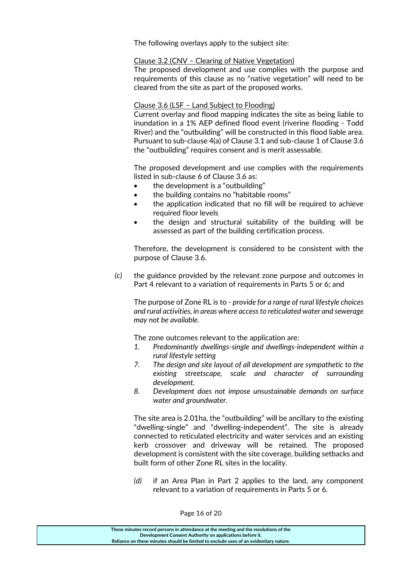The following overlays apply to the subject site:

#### Clause 3.2 (CNV – Clearing of Native Vegetation)

The proposed development and use complies with the purpose and requirements of this clause as no "native vegetation" will need to be cleared from the site as part of the proposed works.

### Clause 3.6 (LSF – Land Subject to Flooding)

Current overlay and flood mapping indicates the site as being liable to inundation in a 1% AEP defined flood event (riverine flooding - Todd River) and the "outbuilding" will be constructed in this flood liable area. Pursuant to sub-clause 4(a) of Clause 3.1 and sub-clause 1 of Clause 3.6 the "outbuilding" requires consent and is merit assessable.

The proposed development and use complies with the requirements listed in sub-clause 6 of Clause 3.6 as:

- the development is a "outbuilding"
- the building contains no "habitable rooms"
- the application indicated that no fill will be required to achieve required floor levels
- the design and structural suitability of the building will be assessed as part of the building certification process.

Therefore, the development is considered to be consistent with the purpose of Clause 3.6.

*(c)* the guidance provided by the relevant zone purpose and outcomes in Part 4 relevant to a variation of requirements in Parts 5 or 6; and

The purpose of Zone RL is to - *provide for a range of rural lifestyle choices and rural activities, in areas where access to reticulated water and sewerage may not be available.*

The zone outcomes relevant to the application are:

- *1. Predominantly dwellings-single and dwellings-independent within a rural lifestyle setting*
- *7. The design and site layout of all development are sympathetic to the existing streetscape, scale and character of surrounding development.*
- *8. Development does not impose unsustainable demands on surface water and groundwater.*

The site area is 2.01ha, the "outbuilding" will be ancillary to the existing "dwelling-single" and "dwelling-independent". The site is already connected to reticulated electricity and water services and an existing kerb crossover and driveway will be retained. The proposed development is consistent with the site coverage, building setbacks and built form of other Zone RL sites in the locality.

*(d)* if an Area Plan in Part 2 applies to the land, any component relevant to a variation of requirements in Parts 5 or 6.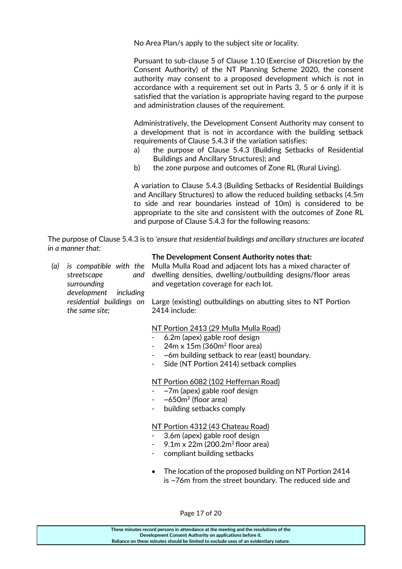No Area Plan/s apply to the subject site or locality.

Pursuant to sub-clause 5 of Clause 1.10 (Exercise of Discretion by the Consent Authority) of the NT Planning Scheme 2020, the consent authority may consent to a proposed development which is not in accordance with a requirement set out in Parts 3, 5 or 6 only if it is satisfied that the variation is appropriate having regard to the purpose and administration clauses of the requirement.

Administratively, the Development Consent Authority may consent to a development that is not in accordance with the building setback requirements of Clause 5.4.3 if the variation satisfies:

- a) the purpose of Clause 5.4.3 (Building Setbacks of Residential Buildings and Ancillary Structures); and
- b) the zone purpose and outcomes of Zone RL (Rural Living).

A variation to Clause 5.4.3 (Building Setbacks of Residential Buildings and Ancillary Structures) to allow the reduced building setbacks (4.5m to side and rear boundaries instead of 10m) is considered to be appropriate to the site and consistent with the outcomes of Zone RL and purpose of Clause 5.4.3 for the following reasons:

The purpose of Clause 5.4.3 is to *'ensure that residential buildings and ancillary structures are located in a manner that:* 

#### **The Development Consent Authority notes that:**

*(a) is compatible with the streetscape and surrounding development including residential buildings on the same site;* Mulla Mulla Road and adjacent lots has a mixed character of dwelling densities, dwelling/outbuilding designs/floor areas and vegetation coverage for each lot. Large (existing) outbuildings on abutting sites to NT Portion 2414 include:

#### NT Portion 2413 (29 Mulla Mulla Road)

- 6.2m (apex) gable roof design
- 24m x 15m (360m<sup>2</sup> floor area)
- ~6m building setback to rear (east) boundary.
- Side (NT Portion 2414) setback complies

#### NT Portion 6082 (102 Heffernan Road)

- $\sim$ 7m (apex) gable roof design
- $-$  ~650 $m^2$  (floor area)
- building setbacks comply

#### NT Portion 4312 (43 Chateau Road)

- 3.6m (apex) gable roof design
- $9.1$ m x 22m (200.2m<sup>2</sup> floor area)
- compliant building setbacks
- The location of the proposed building on NT Portion 2414 is ~76m from the street boundary. The reduced side and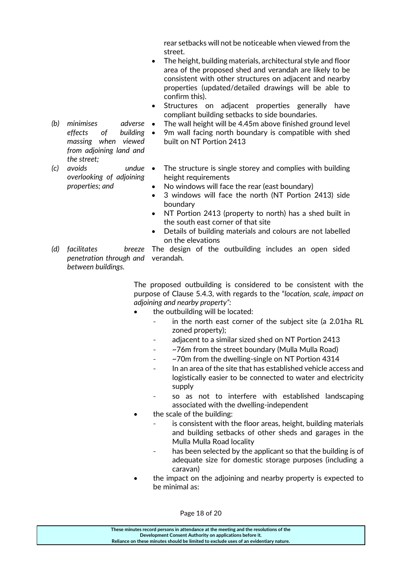rear setbacks will not be noticeable when viewed from the street.

- The height, building materials, architectural style and floor area of the proposed shed and verandah are likely to be consistent with other structures on adjacent and nearby properties (updated/detailed drawings will be able to confirm this).
- Structures on adjacent properties generally have compliant building setbacks to side boundaries.
- *(b) minimises adverse effects of building massing when viewed from adjoining land and the street;*
- *(c) avoids undue overlooking of adjoining properties; and*
- The wall height will be 4.45m above finished ground level
- 9m wall facing north boundary is compatible with shed built on NT Portion 2413
	- The structure is single storey and complies with building height requirements
	- No windows will face the rear (east boundary)
	- 3 windows will face the north (NT Portion 2413) side boundary
	- NT Portion 2413 (property to north) has a shed built in the south east corner of that site
	- Details of building materials and colours are not labelled on the elevations
- *(d) facilitates penetration through and*  verandah. *between buildings.* breeze The design of the outbuilding includes an open sided

The proposed outbuilding is considered to be consistent with the purpose of Clause 5.4.3, with regards to the "*location, scale, impact on adjoining and nearby property":*

- the outbuilding will be located:
	- in the north east corner of the subject site (a 2.01ha RL zoned property);
	- adjacent to a similar sized shed on NT Portion 2413
	- ~76m from the street boundary (Mulla Mulla Road)
	- $\sim$  70m from the dwelling-single on NT Portion 4314
	- In an area of the site that has established vehicle access and logistically easier to be connected to water and electricity supply
	- so as not to interfere with established landscaping associated with the dwelling-independent
- the scale of the building:
	- is consistent with the floor areas, height, building materials and building setbacks of other sheds and garages in the Mulla Mulla Road locality
	- has been selected by the applicant so that the building is of adequate size for domestic storage purposes (including a caravan)
- the impact on the adjoining and nearby property is expected to be minimal as:

Page 18 of 20

| These minutes record persons in attendance at the meeting and the resolutions of the  |
|---------------------------------------------------------------------------------------|
| Development Consent Authority on applications before it.                              |
| Reliance on these minutes should be limited to exclude uses of an evidentiary nature. |
|                                                                                       |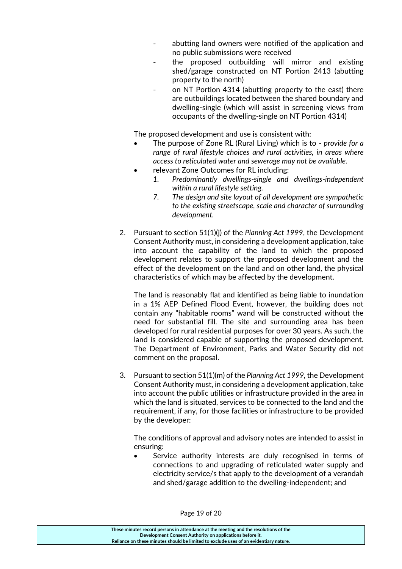- abutting land owners were notified of the application and no public submissions were received
- the proposed outbuilding will mirror and existing shed/garage constructed on NT Portion 2413 (abutting property to the north)
- on NT Portion 4314 (abutting property to the east) there are outbuildings located between the shared boundary and dwelling-single (which will assist in screening views from occupants of the dwelling-single on NT Portion 4314)

The proposed development and use is consistent with:

- The purpose of Zone RL (Rural Living) which is to *provide for a range of rural lifestyle choices and rural activities, in areas where access to reticulated water and sewerage may not be available.*
- relevant Zone Outcomes for RL including:
	- *1. Predominantly dwellings-single and dwellings-independent within a rural lifestyle setting.*
	- *7. The design and site layout of all development are sympathetic to the existing streetscape, scale and character of surrounding development.*
- 2. Pursuant to section 51(1)(j) of the *Planning Act 1999*, the Development Consent Authority must, in considering a development application, take into account the capability of the land to which the proposed development relates to support the proposed development and the effect of the development on the land and on other land, the physical characteristics of which may be affected by the development.

The land is reasonably flat and identified as being liable to inundation in a 1% AEP Defined Flood Event, however, the building does not contain any "habitable rooms" wand will be constructed without the need for substantial fill. The site and surrounding area has been developed for rural residential purposes for over 30 years. As such, the land is considered capable of supporting the proposed development. The Department of Environment, Parks and Water Security did not comment on the proposal.

3. Pursuant to section 51(1)(m) of the *Planning Act 1999,* the Development Consent Authority must, in considering a development application, take into account the public utilities or infrastructure provided in the area in which the land is situated, services to be connected to the land and the requirement, if any, for those facilities or infrastructure to be provided by the developer:

The conditions of approval and advisory notes are intended to assist in ensuring:

 Service authority interests are duly recognised in terms of connections to and upgrading of reticulated water supply and electricity service/s that apply to the development of a verandah and shed/garage addition to the dwelling-independent; and